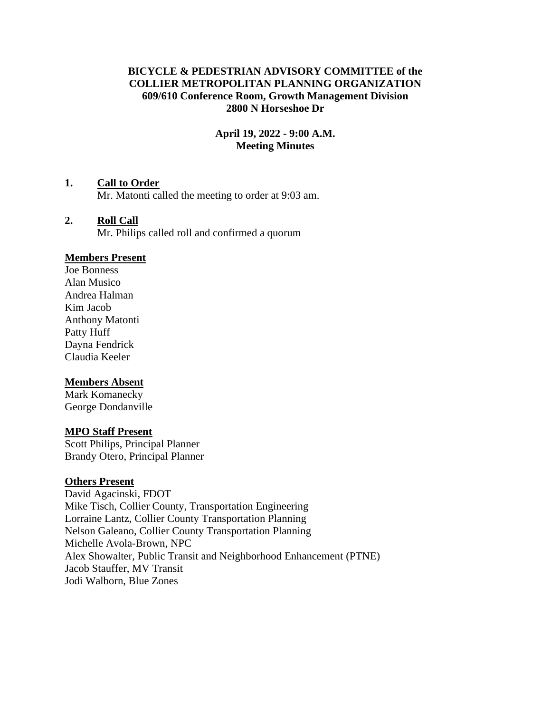## **BICYCLE & PEDESTRIAN ADVISORY COMMITTEE of the COLLIER METROPOLITAN PLANNING ORGANIZATION 609/610 Conference Room, Growth Management Division 2800 N Horseshoe Dr**

## **April 19, 2022 - 9:00 A.M. Meeting Minutes**

## **1. Call to Order**

Mr. Matonti called the meeting to order at 9:03 am.

## **2. Roll Call**

Mr. Philips called roll and confirmed a quorum

#### **Members Present**

Joe Bonness Alan Musico Andrea Halman Kim Jacob Anthony Matonti Patty Huff Dayna Fendrick Claudia Keeler

#### **Members Absent**

Mark Komanecky George Dondanville

## **MPO Staff Present**

Scott Philips, Principal Planner Brandy Otero, Principal Planner

#### **Others Present**

David Agacinski, FDOT Mike Tisch, Collier County, Transportation Engineering Lorraine Lantz, Collier County Transportation Planning Nelson Galeano, Collier County Transportation Planning Michelle Avola-Brown, NPC Alex Showalter, Public Transit and Neighborhood Enhancement (PTNE) Jacob Stauffer, MV Transit Jodi Walborn, Blue Zones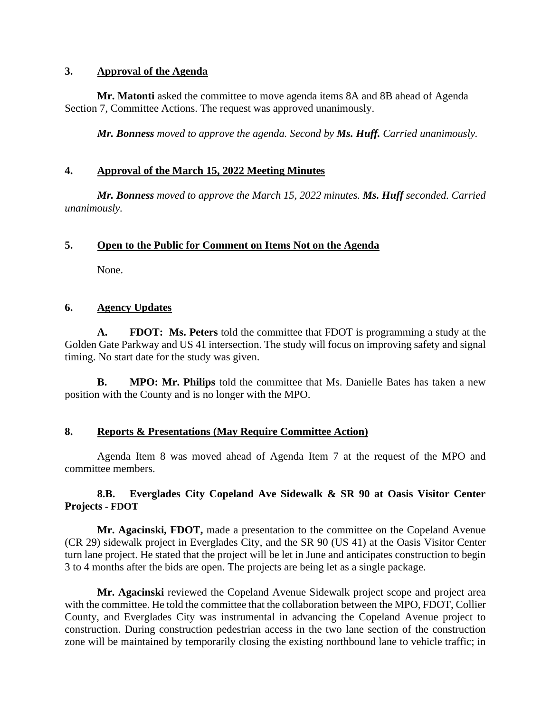#### **3. Approval of the Agenda**

**Mr. Matonti** asked the committee to move agenda items 8A and 8B ahead of Agenda Section 7, Committee Actions. The request was approved unanimously.

*Mr. Bonness moved to approve the agenda. Second by Ms. Huff. Carried unanimously.*

# **4. Approval of the March 15, 2022 Meeting Minutes**

*Mr. Bonness moved to approve the March 15, 2022 minutes. Ms. Huff seconded. Carried unanimously.*

# **5. Open to the Public for Comment on Items Not on the Agenda**

None.

# **6. Agency Updates**

**A. FDOT: Ms. Peters** told the committee that FDOT is programming a study at the Golden Gate Parkway and US 41 intersection. The study will focus on improving safety and signal timing. No start date for the study was given.

**B. MPO: Mr. Philips** told the committee that Ms. Danielle Bates has taken a new position with the County and is no longer with the MPO.

# **8. Reports & Presentations (May Require Committee Action)**

Agenda Item 8 was moved ahead of Agenda Item 7 at the request of the MPO and committee members.

# **8.B. Everglades City Copeland Ave Sidewalk & SR 90 at Oasis Visitor Center Projects - FDOT**

**Mr. Agacinski, FDOT,** made a presentation to the committee on the Copeland Avenue (CR 29) sidewalk project in Everglades City, and the SR 90 (US 41) at the Oasis Visitor Center turn lane project. He stated that the project will be let in June and anticipates construction to begin 3 to 4 months after the bids are open. The projects are being let as a single package.

**Mr. Agacinski** reviewed the Copeland Avenue Sidewalk project scope and project area with the committee. He told the committee that the collaboration between the MPO, FDOT, Collier County, and Everglades City was instrumental in advancing the Copeland Avenue project to construction. During construction pedestrian access in the two lane section of the construction zone will be maintained by temporarily closing the existing northbound lane to vehicle traffic; in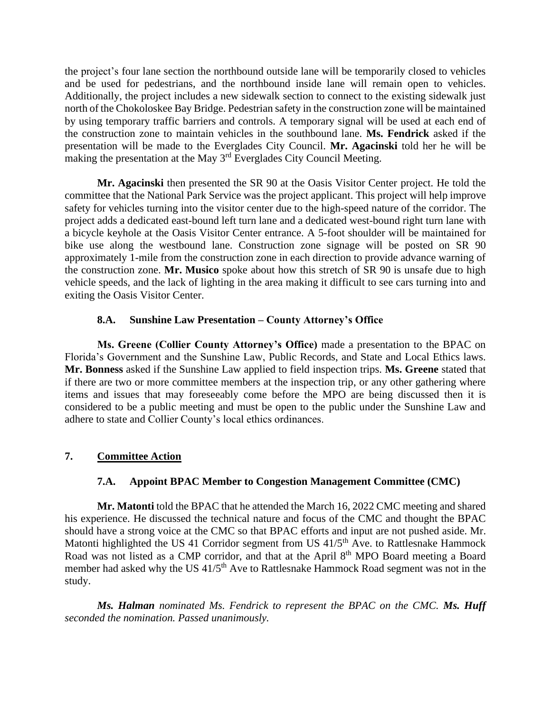the project's four lane section the northbound outside lane will be temporarily closed to vehicles and be used for pedestrians, and the northbound inside lane will remain open to vehicles. Additionally, the project includes a new sidewalk section to connect to the existing sidewalk just north of the Chokoloskee Bay Bridge. Pedestrian safety in the construction zone will be maintained by using temporary traffic barriers and controls. A temporary signal will be used at each end of the construction zone to maintain vehicles in the southbound lane. **Ms. Fendrick** asked if the presentation will be made to the Everglades City Council. **Mr. Agacinski** told her he will be making the presentation at the May 3rd Everglades City Council Meeting.

**Mr. Agacinski** then presented the SR 90 at the Oasis Visitor Center project. He told the committee that the National Park Service was the project applicant. This project will help improve safety for vehicles turning into the visitor center due to the high-speed nature of the corridor. The project adds a dedicated east-bound left turn lane and a dedicated west-bound right turn lane with a bicycle keyhole at the Oasis Visitor Center entrance. A 5-foot shoulder will be maintained for bike use along the westbound lane. Construction zone signage will be posted on SR 90 approximately 1-mile from the construction zone in each direction to provide advance warning of the construction zone. **Mr. Musico** spoke about how this stretch of SR 90 is unsafe due to high vehicle speeds, and the lack of lighting in the area making it difficult to see cars turning into and exiting the Oasis Visitor Center.

## **8.A. Sunshine Law Presentation – County Attorney's Office**

**Ms. Greene (Collier County Attorney's Office)** made a presentation to the BPAC on Florida's Government and the Sunshine Law, Public Records, and State and Local Ethics laws. **Mr. Bonness** asked if the Sunshine Law applied to field inspection trips. **Ms. Greene** stated that if there are two or more committee members at the inspection trip, or any other gathering where items and issues that may foreseeably come before the MPO are being discussed then it is considered to be a public meeting and must be open to the public under the Sunshine Law and adhere to state and Collier County's local ethics ordinances.

# **7. Committee Action**

# **7.A. Appoint BPAC Member to Congestion Management Committee (CMC)**

**Mr. Matonti** told the BPAC that he attended the March 16, 2022 CMC meeting and shared his experience. He discussed the technical nature and focus of the CMC and thought the BPAC should have a strong voice at the CMC so that BPAC efforts and input are not pushed aside. Mr. Matonti highlighted the US 41 Corridor segment from US 41/5<sup>th</sup> Ave. to Rattlesnake Hammock Road was not listed as a CMP corridor, and that at the April 8<sup>th</sup> MPO Board meeting a Board member had asked why the US 41/5<sup>th</sup> Ave to Rattlesnake Hammock Road segment was not in the study.

*Ms. Halman nominated Ms. Fendrick to represent the BPAC on the CMC. Ms. Huff seconded the nomination. Passed unanimously.*